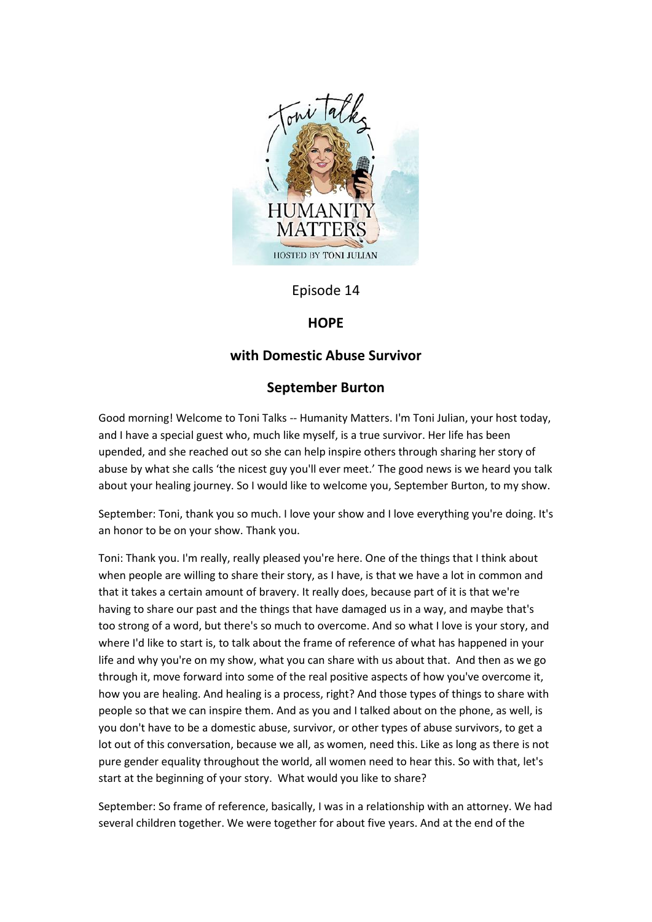

# Episode 14

## **HOPE**

## **with Domestic Abuse Survivor**

# **September Burton**

Good morning! Welcome to Toni Talks -- Humanity Matters. I'm Toni Julian, your host today, and I have a special guest who, much like myself, is a true survivor. Her life has been upended, and she reached out so she can help inspire others through sharing her story of abuse by what she calls 'the nicest guy you'll ever meet.' The good news is we heard you talk about your healing journey. So I would like to welcome you, September Burton, to my show.

September: Toni, thank you so much. I love your show and I love everything you're doing. It's an honor to be on your show. Thank you.

Toni: Thank you. I'm really, really pleased you're here. One of the things that I think about when people are willing to share their story, as I have, is that we have a lot in common and that it takes a certain amount of bravery. It really does, because part of it is that we're having to share our past and the things that have damaged us in a way, and maybe that's too strong of a word, but there's so much to overcome. And so what I love is your story, and where I'd like to start is, to talk about the frame of reference of what has happened in your life and why you're on my show, what you can share with us about that. And then as we go through it, move forward into some of the real positive aspects of how you've overcome it, how you are healing. And healing is a process, right? And those types of things to share with people so that we can inspire them. And as you and I talked about on the phone, as well, is you don't have to be a domestic abuse, survivor, or other types of abuse survivors, to get a lot out of this conversation, because we all, as women, need this. Like as long as there is not pure gender equality throughout the world, all women need to hear this. So with that, let's start at the beginning of your story. What would you like to share?

September: So frame of reference, basically, I was in a relationship with an attorney. We had several children together. We were together for about five years. And at the end of the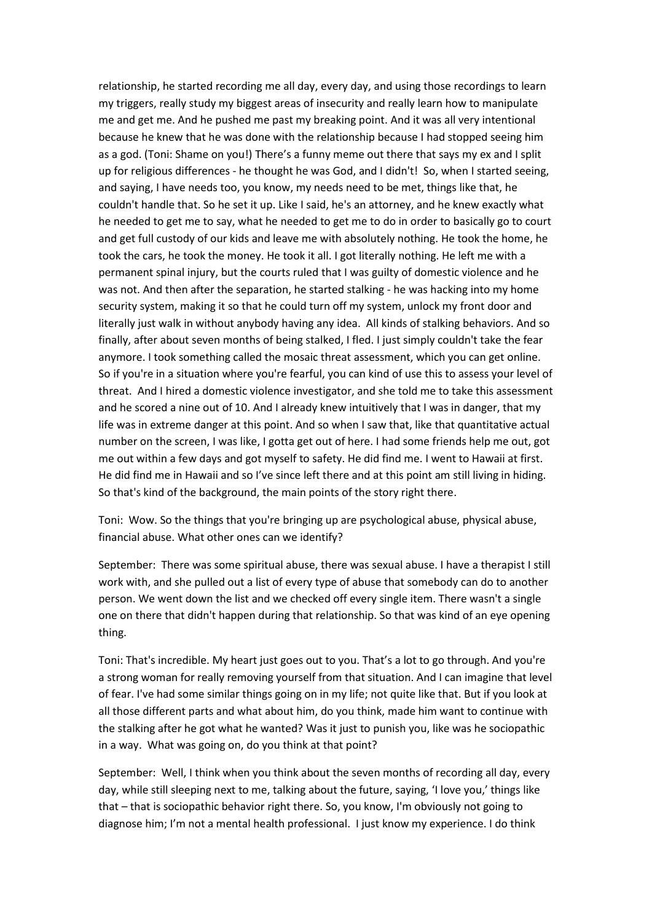relationship, he started recording me all day, every day, and using those recordings to learn my triggers, really study my biggest areas of insecurity and really learn how to manipulate me and get me. And he pushed me past my breaking point. And it was all very intentional because he knew that he was done with the relationship because I had stopped seeing him as a god. (Toni: Shame on you!) There's a funny meme out there that says my ex and I split up for religious differences - he thought he was God, and I didn't! So, when I started seeing, and saying, I have needs too, you know, my needs need to be met, things like that, he couldn't handle that. So he set it up. Like I said, he's an attorney, and he knew exactly what he needed to get me to say, what he needed to get me to do in order to basically go to court and get full custody of our kids and leave me with absolutely nothing. He took the home, he took the cars, he took the money. He took it all. I got literally nothing. He left me with a permanent spinal injury, but the courts ruled that I was guilty of domestic violence and he was not. And then after the separation, he started stalking - he was hacking into my home security system, making it so that he could turn off my system, unlock my front door and literally just walk in without anybody having any idea. All kinds of stalking behaviors. And so finally, after about seven months of being stalked, I fled. I just simply couldn't take the fear anymore. I took something called the mosaic threat assessment, which you can get online. So if you're in a situation where you're fearful, you can kind of use this to assess your level of threat. And I hired a domestic violence investigator, and she told me to take this assessment and he scored a nine out of 10. And I already knew intuitively that I was in danger, that my life was in extreme danger at this point. And so when I saw that, like that quantitative actual number on the screen, I was like, I gotta get out of here. I had some friends help me out, got me out within a few days and got myself to safety. He did find me. I went to Hawaii at first. He did find me in Hawaii and so I've since left there and at this point am still living in hiding. So that's kind of the background, the main points of the story right there.

Toni: Wow. So the things that you're bringing up are psychological abuse, physical abuse, financial abuse. What other ones can we identify?

September: There was some spiritual abuse, there was sexual abuse. I have a therapist I still work with, and she pulled out a list of every type of abuse that somebody can do to another person. We went down the list and we checked off every single item. There wasn't a single one on there that didn't happen during that relationship. So that was kind of an eye opening thing.

Toni: That's incredible. My heart just goes out to you. That's a lot to go through. And you're a strong woman for really removing yourself from that situation. And I can imagine that level of fear. I've had some similar things going on in my life; not quite like that. But if you look at all those different parts and what about him, do you think, made him want to continue with the stalking after he got what he wanted? Was it just to punish you, like was he sociopathic in a way. What was going on, do you think at that point?

September: Well, I think when you think about the seven months of recording all day, every day, while still sleeping next to me, talking about the future, saying, 'I love you,' things like that – that is sociopathic behavior right there. So, you know, I'm obviously not going to diagnose him; I'm not a mental health professional. I just know my experience. I do think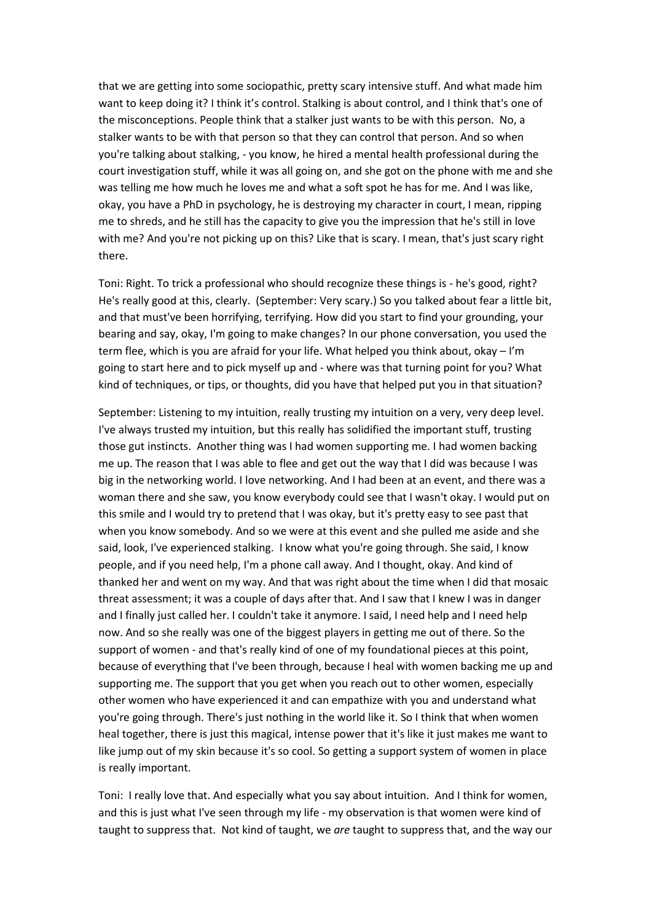that we are getting into some sociopathic, pretty scary intensive stuff. And what made him want to keep doing it? I think it's control. Stalking is about control, and I think that's one of the misconceptions. People think that a stalker just wants to be with this person. No, a stalker wants to be with that person so that they can control that person. And so when you're talking about stalking, - you know, he hired a mental health professional during the court investigation stuff, while it was all going on, and she got on the phone with me and she was telling me how much he loves me and what a soft spot he has for me. And I was like, okay, you have a PhD in psychology, he is destroying my character in court, I mean, ripping me to shreds, and he still has the capacity to give you the impression that he's still in love with me? And you're not picking up on this? Like that is scary. I mean, that's just scary right there.

Toni: Right. To trick a professional who should recognize these things is - he's good, right? He's really good at this, clearly. (September: Very scary.) So you talked about fear a little bit, and that must've been horrifying, terrifying. How did you start to find your grounding, your bearing and say, okay, I'm going to make changes? In our phone conversation, you used the term flee, which is you are afraid for your life. What helped you think about, okay – I'm going to start here and to pick myself up and - where was that turning point for you? What kind of techniques, or tips, or thoughts, did you have that helped put you in that situation?

September: Listening to my intuition, really trusting my intuition on a very, very deep level. I've always trusted my intuition, but this really has solidified the important stuff, trusting those gut instincts. Another thing was I had women supporting me. I had women backing me up. The reason that I was able to flee and get out the way that I did was because I was big in the networking world. I love networking. And I had been at an event, and there was a woman there and she saw, you know everybody could see that I wasn't okay. I would put on this smile and I would try to pretend that I was okay, but it's pretty easy to see past that when you know somebody. And so we were at this event and she pulled me aside and she said, look, I've experienced stalking. I know what you're going through. She said, I know people, and if you need help, I'm a phone call away. And I thought, okay. And kind of thanked her and went on my way. And that was right about the time when I did that mosaic threat assessment; it was a couple of days after that. And I saw that I knew I was in danger and I finally just called her. I couldn't take it anymore. I said, I need help and I need help now. And so she really was one of the biggest players in getting me out of there. So the support of women - and that's really kind of one of my foundational pieces at this point, because of everything that I've been through, because I heal with women backing me up and supporting me. The support that you get when you reach out to other women, especially other women who have experienced it and can empathize with you and understand what you're going through. There's just nothing in the world like it. So I think that when women heal together, there is just this magical, intense power that it's like it just makes me want to like jump out of my skin because it's so cool. So getting a support system of women in place is really important.

Toni: I really love that. And especially what you say about intuition. And I think for women, and this is just what I've seen through my life - my observation is that women were kind of taught to suppress that. Not kind of taught, we *are* taught to suppress that, and the way our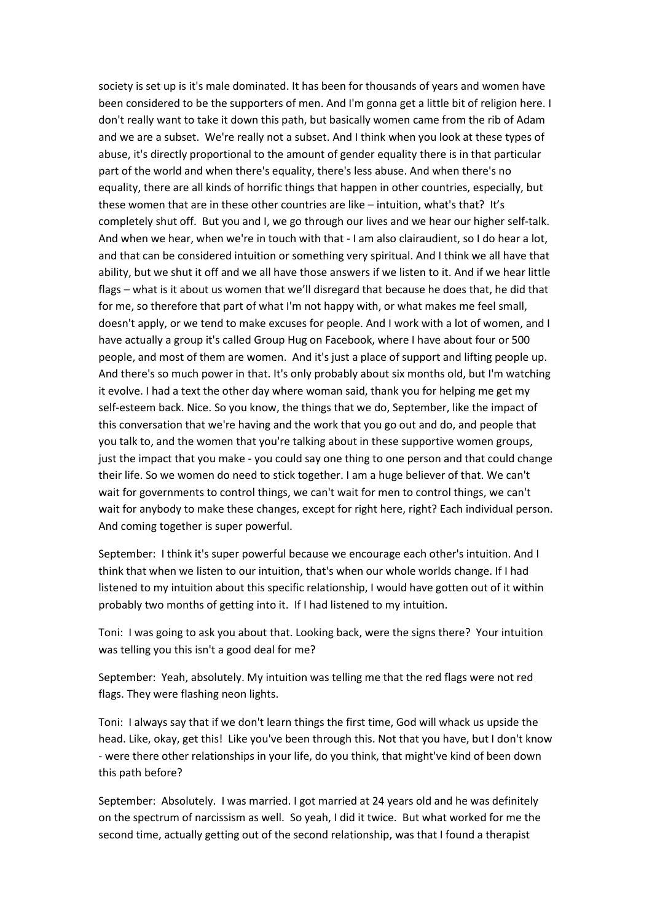society is set up is it's male dominated. It has been for thousands of years and women have been considered to be the supporters of men. And I'm gonna get a little bit of religion here. I don't really want to take it down this path, but basically women came from the rib of Adam and we are a subset. We're really not a subset. And I think when you look at these types of abuse, it's directly proportional to the amount of gender equality there is in that particular part of the world and when there's equality, there's less abuse. And when there's no equality, there are all kinds of horrific things that happen in other countries, especially, but these women that are in these other countries are like – intuition, what's that? It's completely shut off. But you and I, we go through our lives and we hear our higher self-talk. And when we hear, when we're in touch with that - I am also clairaudient, so I do hear a lot, and that can be considered intuition or something very spiritual. And I think we all have that ability, but we shut it off and we all have those answers if we listen to it. And if we hear little flags – what is it about us women that we'll disregard that because he does that, he did that for me, so therefore that part of what I'm not happy with, or what makes me feel small, doesn't apply, or we tend to make excuses for people. And I work with a lot of women, and I have actually a group it's called Group Hug on Facebook, where I have about four or 500 people, and most of them are women. And it's just a place of support and lifting people up. And there's so much power in that. It's only probably about six months old, but I'm watching it evolve. I had a text the other day where woman said, thank you for helping me get my self-esteem back. Nice. So you know, the things that we do, September, like the impact of this conversation that we're having and the work that you go out and do, and people that you talk to, and the women that you're talking about in these supportive women groups, just the impact that you make - you could say one thing to one person and that could change their life. So we women do need to stick together. I am a huge believer of that. We can't wait for governments to control things, we can't wait for men to control things, we can't wait for anybody to make these changes, except for right here, right? Each individual person. And coming together is super powerful.

September: I think it's super powerful because we encourage each other's intuition. And I think that when we listen to our intuition, that's when our whole worlds change. If I had listened to my intuition about this specific relationship, I would have gotten out of it within probably two months of getting into it. If I had listened to my intuition.

Toni: I was going to ask you about that. Looking back, were the signs there? Your intuition was telling you this isn't a good deal for me?

September: Yeah, absolutely. My intuition was telling me that the red flags were not red flags. They were flashing neon lights.

Toni: I always say that if we don't learn things the first time, God will whack us upside the head. Like, okay, get this! Like you've been through this. Not that you have, but I don't know - were there other relationships in your life, do you think, that might've kind of been down this path before?

September: Absolutely. I was married. I got married at 24 years old and he was definitely on the spectrum of narcissism as well. So yeah, I did it twice. But what worked for me the second time, actually getting out of the second relationship, was that I found a therapist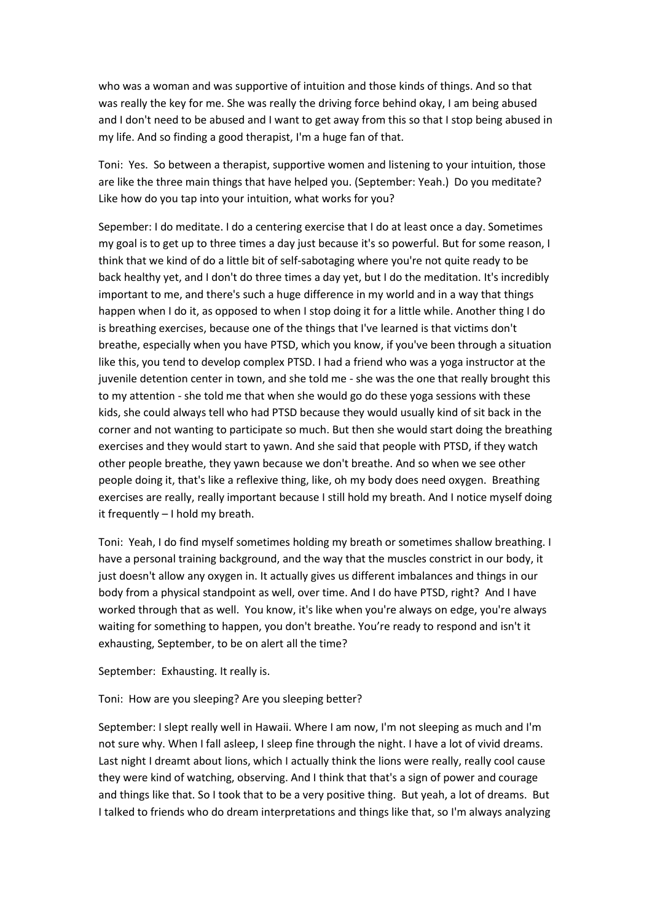who was a woman and was supportive of intuition and those kinds of things. And so that was really the key for me. She was really the driving force behind okay, I am being abused and I don't need to be abused and I want to get away from this so that I stop being abused in my life. And so finding a good therapist, I'm a huge fan of that.

Toni: Yes. So between a therapist, supportive women and listening to your intuition, those are like the three main things that have helped you. (September: Yeah.) Do you meditate? Like how do you tap into your intuition, what works for you?

Sepember: I do meditate. I do a centering exercise that I do at least once a day. Sometimes my goal is to get up to three times a day just because it's so powerful. But for some reason, I think that we kind of do a little bit of self-sabotaging where you're not quite ready to be back healthy yet, and I don't do three times a day yet, but I do the meditation. It's incredibly important to me, and there's such a huge difference in my world and in a way that things happen when I do it, as opposed to when I stop doing it for a little while. Another thing I do is breathing exercises, because one of the things that I've learned is that victims don't breathe, especially when you have PTSD, which you know, if you've been through a situation like this, you tend to develop complex PTSD. I had a friend who was a yoga instructor at the juvenile detention center in town, and she told me - she was the one that really brought this to my attention - she told me that when she would go do these yoga sessions with these kids, she could always tell who had PTSD because they would usually kind of sit back in the corner and not wanting to participate so much. But then she would start doing the breathing exercises and they would start to yawn. And she said that people with PTSD, if they watch other people breathe, they yawn because we don't breathe. And so when we see other people doing it, that's like a reflexive thing, like, oh my body does need oxygen. Breathing exercises are really, really important because I still hold my breath. And I notice myself doing it frequently – I hold my breath.

Toni: Yeah, I do find myself sometimes holding my breath or sometimes shallow breathing. I have a personal training background, and the way that the muscles constrict in our body, it just doesn't allow any oxygen in. It actually gives us different imbalances and things in our body from a physical standpoint as well, over time. And I do have PTSD, right? And I have worked through that as well. You know, it's like when you're always on edge, you're always waiting for something to happen, you don't breathe. You're ready to respond and isn't it exhausting, September, to be on alert all the time?

September: Exhausting. It really is.

Toni: How are you sleeping? Are you sleeping better?

September: I slept really well in Hawaii. Where I am now, I'm not sleeping as much and I'm not sure why. When I fall asleep, I sleep fine through the night. I have a lot of vivid dreams. Last night I dreamt about lions, which I actually think the lions were really, really cool cause they were kind of watching, observing. And I think that that's a sign of power and courage and things like that. So I took that to be a very positive thing. But yeah, a lot of dreams. But I talked to friends who do dream interpretations and things like that, so I'm always analyzing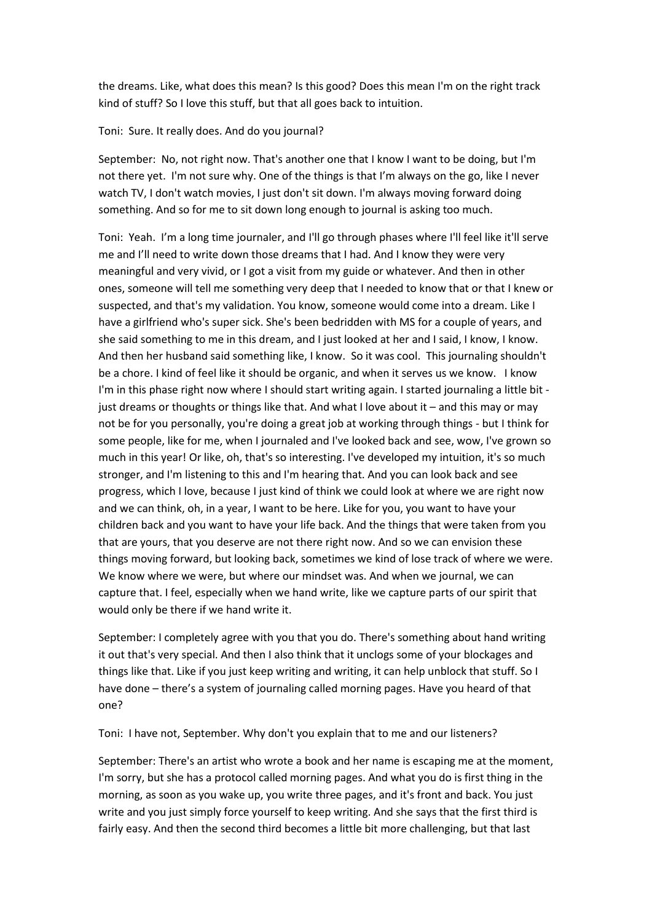the dreams. Like, what does this mean? Is this good? Does this mean I'm on the right track kind of stuff? So I love this stuff, but that all goes back to intuition.

### Toni: Sure. It really does. And do you journal?

September: No, not right now. That's another one that I know I want to be doing, but I'm not there yet. I'm not sure why. One of the things is that I'm always on the go, like I never watch TV, I don't watch movies, I just don't sit down. I'm always moving forward doing something. And so for me to sit down long enough to journal is asking too much.

Toni: Yeah. I'm a long time journaler, and I'll go through phases where I'll feel like it'll serve me and I'll need to write down those dreams that I had. And I know they were very meaningful and very vivid, or I got a visit from my guide or whatever. And then in other ones, someone will tell me something very deep that I needed to know that or that I knew or suspected, and that's my validation. You know, someone would come into a dream. Like I have a girlfriend who's super sick. She's been bedridden with MS for a couple of years, and she said something to me in this dream, and I just looked at her and I said, I know, I know. And then her husband said something like, I know. So it was cool. This journaling shouldn't be a chore. I kind of feel like it should be organic, and when it serves us we know. I know I'm in this phase right now where I should start writing again. I started journaling a little bit just dreams or thoughts or things like that. And what I love about it – and this may or may not be for you personally, you're doing a great job at working through things - but I think for some people, like for me, when I journaled and I've looked back and see, wow, I've grown so much in this year! Or like, oh, that's so interesting. I've developed my intuition, it's so much stronger, and I'm listening to this and I'm hearing that. And you can look back and see progress, which I love, because I just kind of think we could look at where we are right now and we can think, oh, in a year, I want to be here. Like for you, you want to have your children back and you want to have your life back. And the things that were taken from you that are yours, that you deserve are not there right now. And so we can envision these things moving forward, but looking back, sometimes we kind of lose track of where we were. We know where we were, but where our mindset was. And when we journal, we can capture that. I feel, especially when we hand write, like we capture parts of our spirit that would only be there if we hand write it.

September: I completely agree with you that you do. There's something about hand writing it out that's very special. And then I also think that it unclogs some of your blockages and things like that. Like if you just keep writing and writing, it can help unblock that stuff. So I have done – there's a system of journaling called morning pages. Have you heard of that one?

Toni: I have not, September. Why don't you explain that to me and our listeners?

September: There's an artist who wrote a book and her name is escaping me at the moment, I'm sorry, but she has a protocol called morning pages. And what you do is first thing in the morning, as soon as you wake up, you write three pages, and it's front and back. You just write and you just simply force yourself to keep writing. And she says that the first third is fairly easy. And then the second third becomes a little bit more challenging, but that last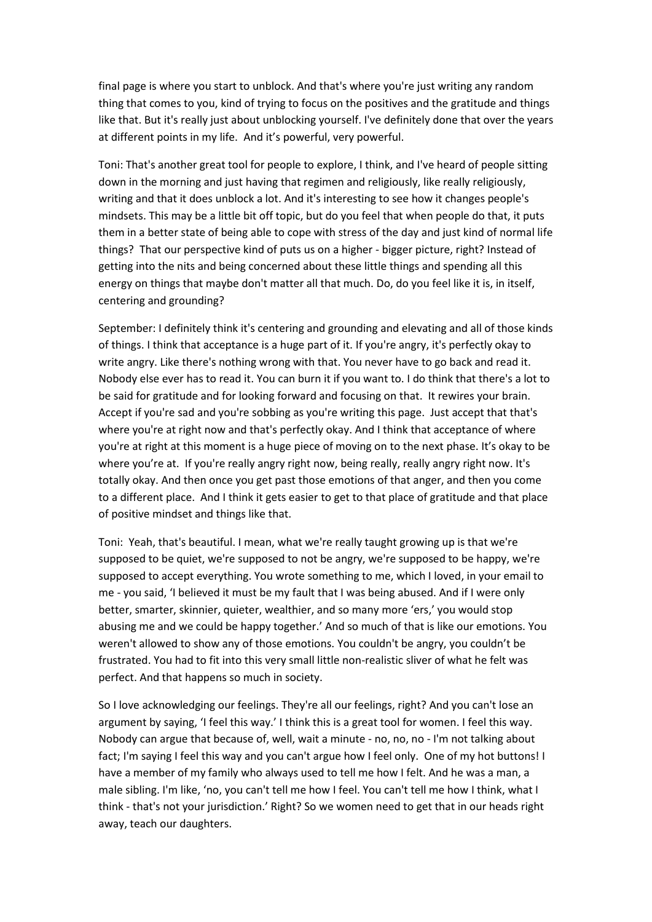final page is where you start to unblock. And that's where you're just writing any random thing that comes to you, kind of trying to focus on the positives and the gratitude and things like that. But it's really just about unblocking yourself. I've definitely done that over the years at different points in my life. And it's powerful, very powerful.

Toni: That's another great tool for people to explore, I think, and I've heard of people sitting down in the morning and just having that regimen and religiously, like really religiously, writing and that it does unblock a lot. And it's interesting to see how it changes people's mindsets. This may be a little bit off topic, but do you feel that when people do that, it puts them in a better state of being able to cope with stress of the day and just kind of normal life things? That our perspective kind of puts us on a higher - bigger picture, right? Instead of getting into the nits and being concerned about these little things and spending all this energy on things that maybe don't matter all that much. Do, do you feel like it is, in itself, centering and grounding?

September: I definitely think it's centering and grounding and elevating and all of those kinds of things. I think that acceptance is a huge part of it. If you're angry, it's perfectly okay to write angry. Like there's nothing wrong with that. You never have to go back and read it. Nobody else ever has to read it. You can burn it if you want to. I do think that there's a lot to be said for gratitude and for looking forward and focusing on that. It rewires your brain. Accept if you're sad and you're sobbing as you're writing this page. Just accept that that's where you're at right now and that's perfectly okay. And I think that acceptance of where you're at right at this moment is a huge piece of moving on to the next phase. It's okay to be where you're at. If you're really angry right now, being really, really angry right now. It's totally okay. And then once you get past those emotions of that anger, and then you come to a different place. And I think it gets easier to get to that place of gratitude and that place of positive mindset and things like that.

Toni: Yeah, that's beautiful. I mean, what we're really taught growing up is that we're supposed to be quiet, we're supposed to not be angry, we're supposed to be happy, we're supposed to accept everything. You wrote something to me, which I loved, in your email to me - you said, 'I believed it must be my fault that I was being abused. And if I were only better, smarter, skinnier, quieter, wealthier, and so many more 'ers,' you would stop abusing me and we could be happy together.' And so much of that is like our emotions. You weren't allowed to show any of those emotions. You couldn't be angry, you couldn't be frustrated. You had to fit into this very small little non-realistic sliver of what he felt was perfect. And that happens so much in society.

So I love acknowledging our feelings. They're all our feelings, right? And you can't lose an argument by saying, 'I feel this way.' I think this is a great tool for women. I feel this way. Nobody can argue that because of, well, wait a minute - no, no, no - I'm not talking about fact; I'm saying I feel this way and you can't argue how I feel only. One of my hot buttons! I have a member of my family who always used to tell me how I felt. And he was a man, a male sibling. I'm like, 'no, you can't tell me how I feel. You can't tell me how I think, what I think - that's not your jurisdiction.' Right? So we women need to get that in our heads right away, teach our daughters.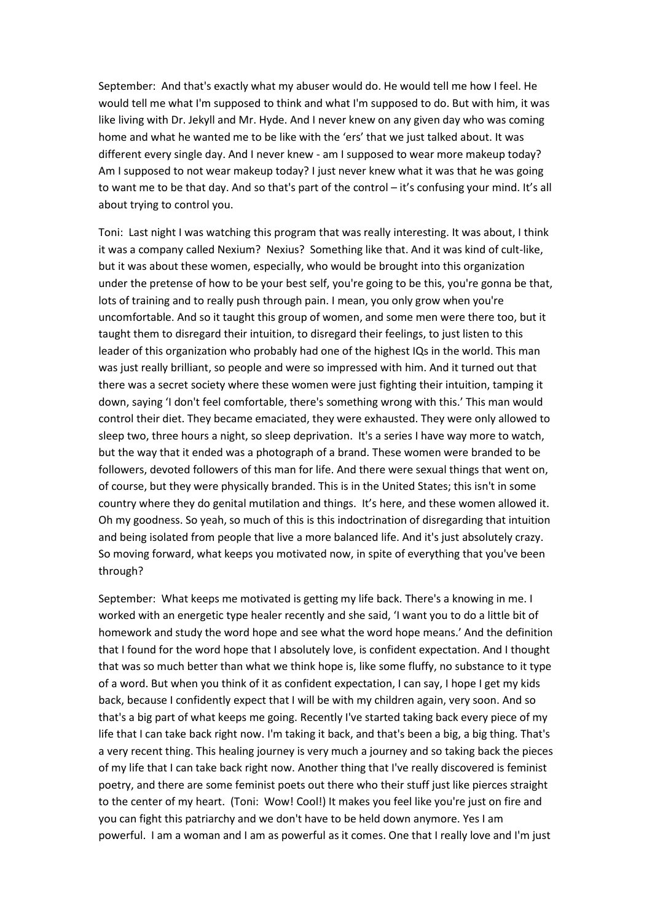September: And that's exactly what my abuser would do. He would tell me how I feel. He would tell me what I'm supposed to think and what I'm supposed to do. But with him, it was like living with Dr. Jekyll and Mr. Hyde. And I never knew on any given day who was coming home and what he wanted me to be like with the 'ers' that we just talked about. It was different every single day. And I never knew - am I supposed to wear more makeup today? Am I supposed to not wear makeup today? I just never knew what it was that he was going to want me to be that day. And so that's part of the control – it's confusing your mind. It's all about trying to control you.

Toni: Last night I was watching this program that was really interesting. It was about, I think it was a company called Nexium? Nexius? Something like that. And it was kind of cult-like, but it was about these women, especially, who would be brought into this organization under the pretense of how to be your best self, you're going to be this, you're gonna be that, lots of training and to really push through pain. I mean, you only grow when you're uncomfortable. And so it taught this group of women, and some men were there too, but it taught them to disregard their intuition, to disregard their feelings, to just listen to this leader of this organization who probably had one of the highest IQs in the world. This man was just really brilliant, so people and were so impressed with him. And it turned out that there was a secret society where these women were just fighting their intuition, tamping it down, saying 'I don't feel comfortable, there's something wrong with this.' This man would control their diet. They became emaciated, they were exhausted. They were only allowed to sleep two, three hours a night, so sleep deprivation. It's a series I have way more to watch, but the way that it ended was a photograph of a brand. These women were branded to be followers, devoted followers of this man for life. And there were sexual things that went on, of course, but they were physically branded. This is in the United States; this isn't in some country where they do genital mutilation and things. It's here, and these women allowed it. Oh my goodness. So yeah, so much of this is this indoctrination of disregarding that intuition and being isolated from people that live a more balanced life. And it's just absolutely crazy. So moving forward, what keeps you motivated now, in spite of everything that you've been through?

September: What keeps me motivated is getting my life back. There's a knowing in me. I worked with an energetic type healer recently and she said, 'I want you to do a little bit of homework and study the word hope and see what the word hope means.' And the definition that I found for the word hope that I absolutely love, is confident expectation. And I thought that was so much better than what we think hope is, like some fluffy, no substance to it type of a word. But when you think of it as confident expectation, I can say, I hope I get my kids back, because I confidently expect that I will be with my children again, very soon. And so that's a big part of what keeps me going. Recently I've started taking back every piece of my life that I can take back right now. I'm taking it back, and that's been a big, a big thing. That's a very recent thing. This healing journey is very much a journey and so taking back the pieces of my life that I can take back right now. Another thing that I've really discovered is feminist poetry, and there are some feminist poets out there who their stuff just like pierces straight to the center of my heart. (Toni: Wow! Cool!) It makes you feel like you're just on fire and you can fight this patriarchy and we don't have to be held down anymore. Yes I am powerful. I am a woman and I am as powerful as it comes. One that I really love and I'm just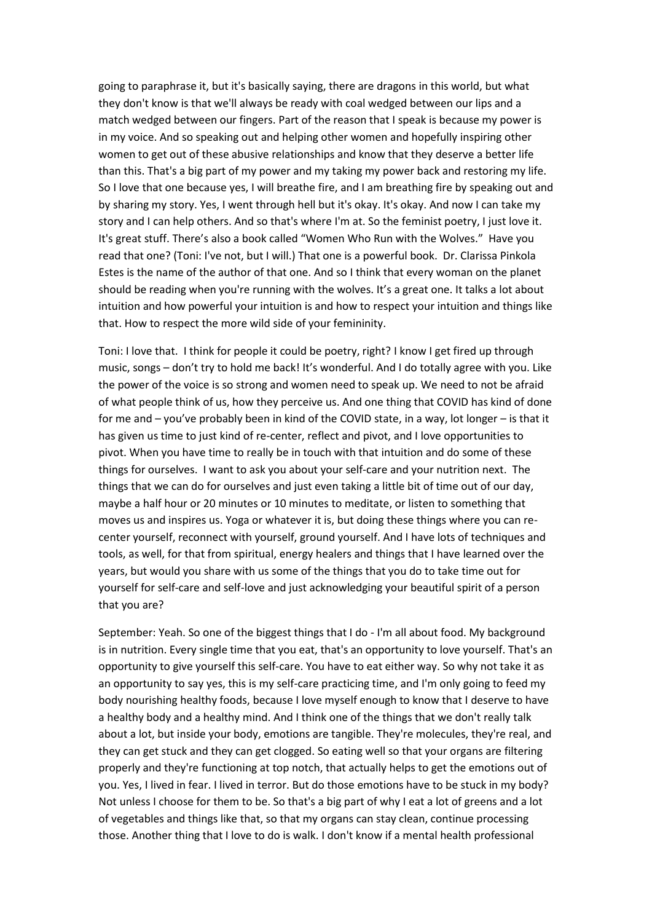going to paraphrase it, but it's basically saying, there are dragons in this world, but what they don't know is that we'll always be ready with coal wedged between our lips and a match wedged between our fingers. Part of the reason that I speak is because my power is in my voice. And so speaking out and helping other women and hopefully inspiring other women to get out of these abusive relationships and know that they deserve a better life than this. That's a big part of my power and my taking my power back and restoring my life. So I love that one because yes, I will breathe fire, and I am breathing fire by speaking out and by sharing my story. Yes, I went through hell but it's okay. It's okay. And now I can take my story and I can help others. And so that's where I'm at. So the feminist poetry, I just love it. It's great stuff. There's also a book called "Women Who Run with the Wolves." Have you read that one? (Toni: I've not, but I will.) That one is a powerful book. Dr. Clarissa Pinkola Estes is the name of the author of that one. And so I think that every woman on the planet should be reading when you're running with the wolves. It's a great one. It talks a lot about intuition and how powerful your intuition is and how to respect your intuition and things like that. How to respect the more wild side of your femininity.

Toni: I love that. I think for people it could be poetry, right? I know I get fired up through music, songs – don't try to hold me back! It's wonderful. And I do totally agree with you. Like the power of the voice is so strong and women need to speak up. We need to not be afraid of what people think of us, how they perceive us. And one thing that COVID has kind of done for me and – you've probably been in kind of the COVID state, in a way, lot longer – is that it has given us time to just kind of re-center, reflect and pivot, and I love opportunities to pivot. When you have time to really be in touch with that intuition and do some of these things for ourselves. I want to ask you about your self-care and your nutrition next. The things that we can do for ourselves and just even taking a little bit of time out of our day, maybe a half hour or 20 minutes or 10 minutes to meditate, or listen to something that moves us and inspires us. Yoga or whatever it is, but doing these things where you can recenter yourself, reconnect with yourself, ground yourself. And I have lots of techniques and tools, as well, for that from spiritual, energy healers and things that I have learned over the years, but would you share with us some of the things that you do to take time out for yourself for self-care and self-love and just acknowledging your beautiful spirit of a person that you are?

September: Yeah. So one of the biggest things that I do - I'm all about food. My background is in nutrition. Every single time that you eat, that's an opportunity to love yourself. That's an opportunity to give yourself this self-care. You have to eat either way. So why not take it as an opportunity to say yes, this is my self-care practicing time, and I'm only going to feed my body nourishing healthy foods, because I love myself enough to know that I deserve to have a healthy body and a healthy mind. And I think one of the things that we don't really talk about a lot, but inside your body, emotions are tangible. They're molecules, they're real, and they can get stuck and they can get clogged. So eating well so that your organs are filtering properly and they're functioning at top notch, that actually helps to get the emotions out of you. Yes, I lived in fear. I lived in terror. But do those emotions have to be stuck in my body? Not unless I choose for them to be. So that's a big part of why I eat a lot of greens and a lot of vegetables and things like that, so that my organs can stay clean, continue processing those. Another thing that I love to do is walk. I don't know if a mental health professional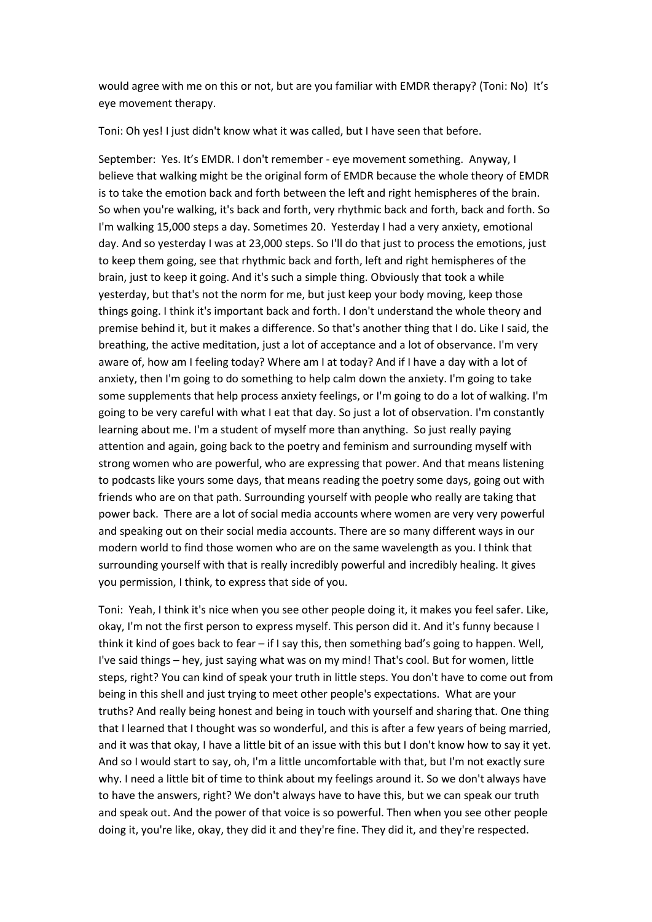would agree with me on this or not, but are you familiar with EMDR therapy? (Toni: No) It's eye movement therapy.

Toni: Oh yes! I just didn't know what it was called, but I have seen that before.

September: Yes. It's EMDR. I don't remember - eye movement something. Anyway, I believe that walking might be the original form of EMDR because the whole theory of EMDR is to take the emotion back and forth between the left and right hemispheres of the brain. So when you're walking, it's back and forth, very rhythmic back and forth, back and forth. So I'm walking 15,000 steps a day. Sometimes 20. Yesterday I had a very anxiety, emotional day. And so yesterday I was at 23,000 steps. So I'll do that just to process the emotions, just to keep them going, see that rhythmic back and forth, left and right hemispheres of the brain, just to keep it going. And it's such a simple thing. Obviously that took a while yesterday, but that's not the norm for me, but just keep your body moving, keep those things going. I think it's important back and forth. I don't understand the whole theory and premise behind it, but it makes a difference. So that's another thing that I do. Like I said, the breathing, the active meditation, just a lot of acceptance and a lot of observance. I'm very aware of, how am I feeling today? Where am I at today? And if I have a day with a lot of anxiety, then I'm going to do something to help calm down the anxiety. I'm going to take some supplements that help process anxiety feelings, or I'm going to do a lot of walking. I'm going to be very careful with what I eat that day. So just a lot of observation. I'm constantly learning about me. I'm a student of myself more than anything. So just really paying attention and again, going back to the poetry and feminism and surrounding myself with strong women who are powerful, who are expressing that power. And that means listening to podcasts like yours some days, that means reading the poetry some days, going out with friends who are on that path. Surrounding yourself with people who really are taking that power back. There are a lot of social media accounts where women are very very powerful and speaking out on their social media accounts. There are so many different ways in our modern world to find those women who are on the same wavelength as you. I think that surrounding yourself with that is really incredibly powerful and incredibly healing. It gives you permission, I think, to express that side of you.

Toni: Yeah, I think it's nice when you see other people doing it, it makes you feel safer. Like, okay, I'm not the first person to express myself. This person did it. And it's funny because I think it kind of goes back to fear – if I say this, then something bad's going to happen. Well, I've said things – hey, just saying what was on my mind! That's cool. But for women, little steps, right? You can kind of speak your truth in little steps. You don't have to come out from being in this shell and just trying to meet other people's expectations. What are your truths? And really being honest and being in touch with yourself and sharing that. One thing that I learned that I thought was so wonderful, and this is after a few years of being married, and it was that okay, I have a little bit of an issue with this but I don't know how to say it yet. And so I would start to say, oh, I'm a little uncomfortable with that, but I'm not exactly sure why. I need a little bit of time to think about my feelings around it. So we don't always have to have the answers, right? We don't always have to have this, but we can speak our truth and speak out. And the power of that voice is so powerful. Then when you see other people doing it, you're like, okay, they did it and they're fine. They did it, and they're respected.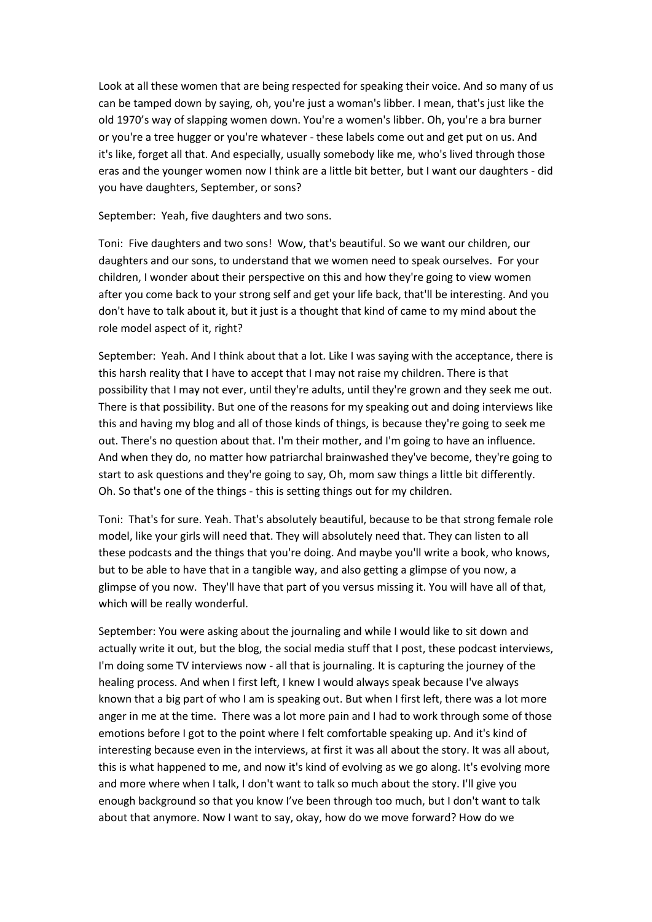Look at all these women that are being respected for speaking their voice. And so many of us can be tamped down by saying, oh, you're just a woman's libber. I mean, that's just like the old 1970's way of slapping women down. You're a women's libber. Oh, you're a bra burner or you're a tree hugger or you're whatever - these labels come out and get put on us. And it's like, forget all that. And especially, usually somebody like me, who's lived through those eras and the younger women now I think are a little bit better, but I want our daughters - did you have daughters, September, or sons?

September: Yeah, five daughters and two sons.

Toni: Five daughters and two sons! Wow, that's beautiful. So we want our children, our daughters and our sons, to understand that we women need to speak ourselves. For your children, I wonder about their perspective on this and how they're going to view women after you come back to your strong self and get your life back, that'll be interesting. And you don't have to talk about it, but it just is a thought that kind of came to my mind about the role model aspect of it, right?

September: Yeah. And I think about that a lot. Like I was saying with the acceptance, there is this harsh reality that I have to accept that I may not raise my children. There is that possibility that I may not ever, until they're adults, until they're grown and they seek me out. There is that possibility. But one of the reasons for my speaking out and doing interviews like this and having my blog and all of those kinds of things, is because they're going to seek me out. There's no question about that. I'm their mother, and I'm going to have an influence. And when they do, no matter how patriarchal brainwashed they've become, they're going to start to ask questions and they're going to say, Oh, mom saw things a little bit differently. Oh. So that's one of the things - this is setting things out for my children.

Toni: That's for sure. Yeah. That's absolutely beautiful, because to be that strong female role model, like your girls will need that. They will absolutely need that. They can listen to all these podcasts and the things that you're doing. And maybe you'll write a book, who knows, but to be able to have that in a tangible way, and also getting a glimpse of you now, a glimpse of you now. They'll have that part of you versus missing it. You will have all of that, which will be really wonderful.

September: You were asking about the journaling and while I would like to sit down and actually write it out, but the blog, the social media stuff that I post, these podcast interviews, I'm doing some TV interviews now - all that is journaling. It is capturing the journey of the healing process. And when I first left, I knew I would always speak because I've always known that a big part of who I am is speaking out. But when I first left, there was a lot more anger in me at the time. There was a lot more pain and I had to work through some of those emotions before I got to the point where I felt comfortable speaking up. And it's kind of interesting because even in the interviews, at first it was all about the story. It was all about, this is what happened to me, and now it's kind of evolving as we go along. It's evolving more and more where when I talk, I don't want to talk so much about the story. I'll give you enough background so that you know I've been through too much, but I don't want to talk about that anymore. Now I want to say, okay, how do we move forward? How do we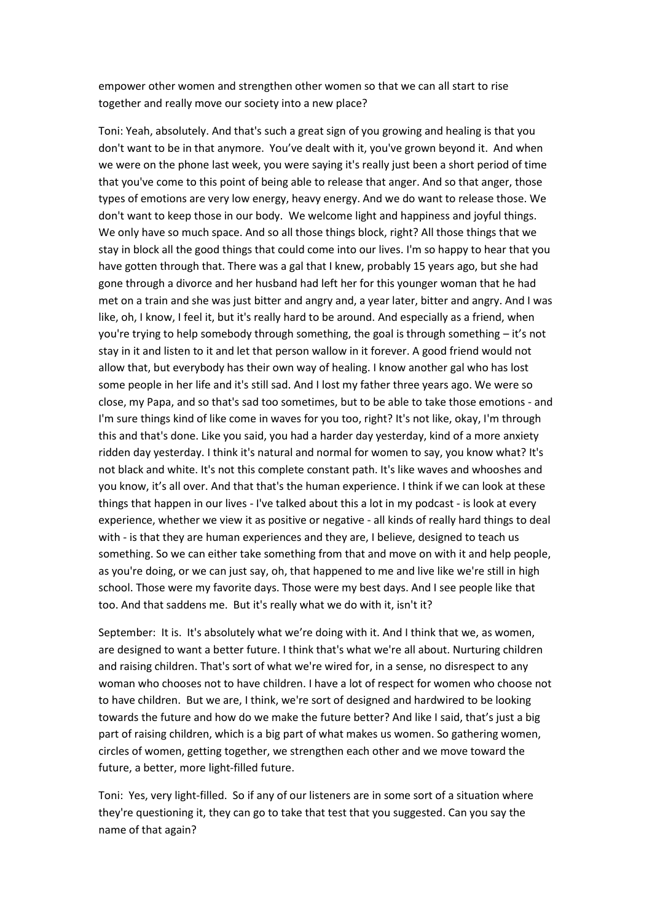empower other women and strengthen other women so that we can all start to rise together and really move our society into a new place?

Toni: Yeah, absolutely. And that's such a great sign of you growing and healing is that you don't want to be in that anymore. You've dealt with it, you've grown beyond it. And when we were on the phone last week, you were saying it's really just been a short period of time that you've come to this point of being able to release that anger. And so that anger, those types of emotions are very low energy, heavy energy. And we do want to release those. We don't want to keep those in our body. We welcome light and happiness and joyful things. We only have so much space. And so all those things block, right? All those things that we stay in block all the good things that could come into our lives. I'm so happy to hear that you have gotten through that. There was a gal that I knew, probably 15 years ago, but she had gone through a divorce and her husband had left her for this younger woman that he had met on a train and she was just bitter and angry and, a year later, bitter and angry. And I was like, oh, I know, I feel it, but it's really hard to be around. And especially as a friend, when you're trying to help somebody through something, the goal is through something – it's not stay in it and listen to it and let that person wallow in it forever. A good friend would not allow that, but everybody has their own way of healing. I know another gal who has lost some people in her life and it's still sad. And I lost my father three years ago. We were so close, my Papa, and so that's sad too sometimes, but to be able to take those emotions - and I'm sure things kind of like come in waves for you too, right? It's not like, okay, I'm through this and that's done. Like you said, you had a harder day yesterday, kind of a more anxiety ridden day yesterday. I think it's natural and normal for women to say, you know what? It's not black and white. It's not this complete constant path. It's like waves and whooshes and you know, it's all over. And that that's the human experience. I think if we can look at these things that happen in our lives - I've talked about this a lot in my podcast - is look at every experience, whether we view it as positive or negative - all kinds of really hard things to deal with - is that they are human experiences and they are, I believe, designed to teach us something. So we can either take something from that and move on with it and help people, as you're doing, or we can just say, oh, that happened to me and live like we're still in high school. Those were my favorite days. Those were my best days. And I see people like that too. And that saddens me. But it's really what we do with it, isn't it?

September: It is. It's absolutely what we're doing with it. And I think that we, as women, are designed to want a better future. I think that's what we're all about. Nurturing children and raising children. That's sort of what we're wired for, in a sense, no disrespect to any woman who chooses not to have children. I have a lot of respect for women who choose not to have children. But we are, I think, we're sort of designed and hardwired to be looking towards the future and how do we make the future better? And like I said, that's just a big part of raising children, which is a big part of what makes us women. So gathering women, circles of women, getting together, we strengthen each other and we move toward the future, a better, more light-filled future.

Toni: Yes, very light-filled. So if any of our listeners are in some sort of a situation where they're questioning it, they can go to take that test that you suggested. Can you say the name of that again?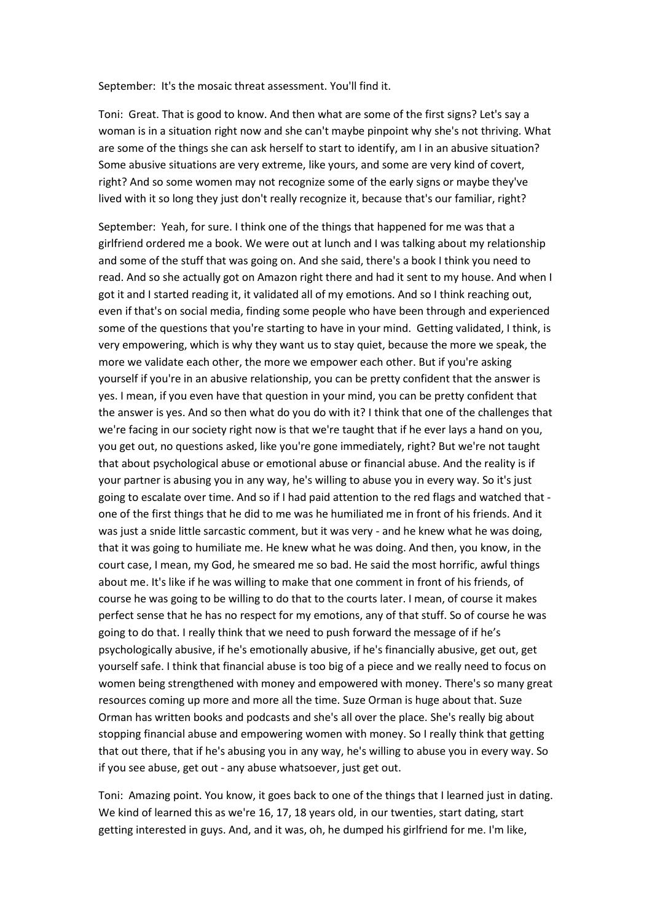September: It's the mosaic threat assessment. You'll find it.

Toni: Great. That is good to know. And then what are some of the first signs? Let's say a woman is in a situation right now and she can't maybe pinpoint why she's not thriving. What are some of the things she can ask herself to start to identify, am I in an abusive situation? Some abusive situations are very extreme, like yours, and some are very kind of covert, right? And so some women may not recognize some of the early signs or maybe they've lived with it so long they just don't really recognize it, because that's our familiar, right?

September: Yeah, for sure. I think one of the things that happened for me was that a girlfriend ordered me a book. We were out at lunch and I was talking about my relationship and some of the stuff that was going on. And she said, there's a book I think you need to read. And so she actually got on Amazon right there and had it sent to my house. And when I got it and I started reading it, it validated all of my emotions. And so I think reaching out, even if that's on social media, finding some people who have been through and experienced some of the questions that you're starting to have in your mind. Getting validated, I think, is very empowering, which is why they want us to stay quiet, because the more we speak, the more we validate each other, the more we empower each other. But if you're asking yourself if you're in an abusive relationship, you can be pretty confident that the answer is yes. I mean, if you even have that question in your mind, you can be pretty confident that the answer is yes. And so then what do you do with it? I think that one of the challenges that we're facing in our society right now is that we're taught that if he ever lays a hand on you, you get out, no questions asked, like you're gone immediately, right? But we're not taught that about psychological abuse or emotional abuse or financial abuse. And the reality is if your partner is abusing you in any way, he's willing to abuse you in every way. So it's just going to escalate over time. And so if I had paid attention to the red flags and watched that one of the first things that he did to me was he humiliated me in front of his friends. And it was just a snide little sarcastic comment, but it was very - and he knew what he was doing, that it was going to humiliate me. He knew what he was doing. And then, you know, in the court case, I mean, my God, he smeared me so bad. He said the most horrific, awful things about me. It's like if he was willing to make that one comment in front of his friends, of course he was going to be willing to do that to the courts later. I mean, of course it makes perfect sense that he has no respect for my emotions, any of that stuff. So of course he was going to do that. I really think that we need to push forward the message of if he's psychologically abusive, if he's emotionally abusive, if he's financially abusive, get out, get yourself safe. I think that financial abuse is too big of a piece and we really need to focus on women being strengthened with money and empowered with money. There's so many great resources coming up more and more all the time. Suze Orman is huge about that. Suze Orman has written books and podcasts and she's all over the place. She's really big about stopping financial abuse and empowering women with money. So I really think that getting that out there, that if he's abusing you in any way, he's willing to abuse you in every way. So if you see abuse, get out - any abuse whatsoever, just get out.

Toni: Amazing point. You know, it goes back to one of the things that I learned just in dating. We kind of learned this as we're 16, 17, 18 years old, in our twenties, start dating, start getting interested in guys. And, and it was, oh, he dumped his girlfriend for me. I'm like,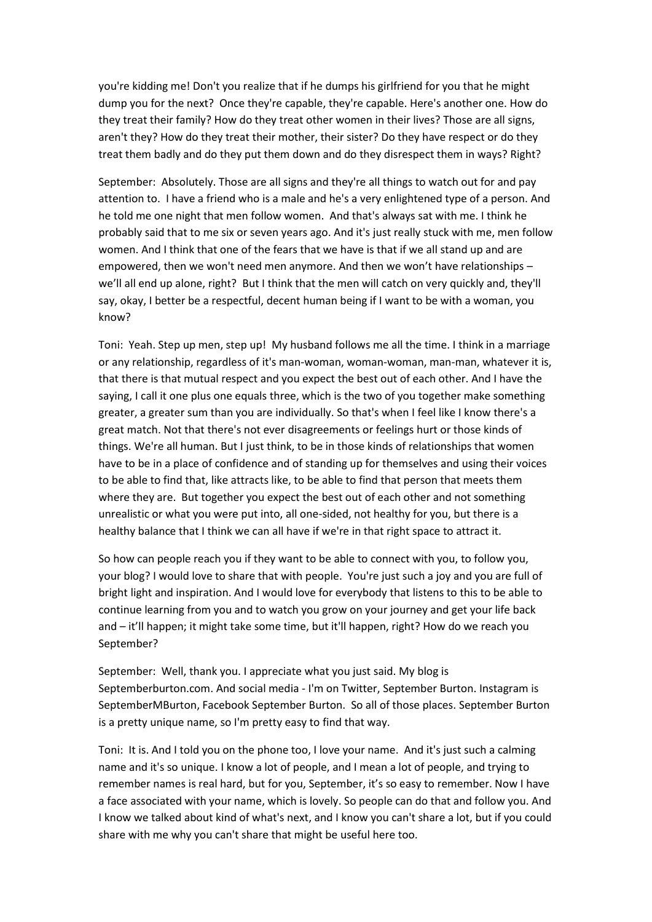you're kidding me! Don't you realize that if he dumps his girlfriend for you that he might dump you for the next? Once they're capable, they're capable. Here's another one. How do they treat their family? How do they treat other women in their lives? Those are all signs, aren't they? How do they treat their mother, their sister? Do they have respect or do they treat them badly and do they put them down and do they disrespect them in ways? Right?

September: Absolutely. Those are all signs and they're all things to watch out for and pay attention to. I have a friend who is a male and he's a very enlightened type of a person. And he told me one night that men follow women. And that's always sat with me. I think he probably said that to me six or seven years ago. And it's just really stuck with me, men follow women. And I think that one of the fears that we have is that if we all stand up and are empowered, then we won't need men anymore. And then we won't have relationships – we'll all end up alone, right? But I think that the men will catch on very quickly and, they'll say, okay, I better be a respectful, decent human being if I want to be with a woman, you know?

Toni: Yeah. Step up men, step up! My husband follows me all the time. I think in a marriage or any relationship, regardless of it's man-woman, woman-woman, man-man, whatever it is, that there is that mutual respect and you expect the best out of each other. And I have the saying, I call it one plus one equals three, which is the two of you together make something greater, a greater sum than you are individually. So that's when I feel like I know there's a great match. Not that there's not ever disagreements or feelings hurt or those kinds of things. We're all human. But I just think, to be in those kinds of relationships that women have to be in a place of confidence and of standing up for themselves and using their voices to be able to find that, like attracts like, to be able to find that person that meets them where they are. But together you expect the best out of each other and not something unrealistic or what you were put into, all one-sided, not healthy for you, but there is a healthy balance that I think we can all have if we're in that right space to attract it.

So how can people reach you if they want to be able to connect with you, to follow you, your blog? I would love to share that with people. You're just such a joy and you are full of bright light and inspiration. And I would love for everybody that listens to this to be able to continue learning from you and to watch you grow on your journey and get your life back and – it'll happen; it might take some time, but it'll happen, right? How do we reach you September?

September: Well, thank you. I appreciate what you just said. My blog is Septemberburton.com. And social media - I'm on Twitter, September Burton. Instagram is SeptemberMBurton, Facebook September Burton. So all of those places. September Burton is a pretty unique name, so I'm pretty easy to find that way.

Toni: It is. And I told you on the phone too, I love your name. And it's just such a calming name and it's so unique. I know a lot of people, and I mean a lot of people, and trying to remember names is real hard, but for you, September, it's so easy to remember. Now I have a face associated with your name, which is lovely. So people can do that and follow you. And I know we talked about kind of what's next, and I know you can't share a lot, but if you could share with me why you can't share that might be useful here too.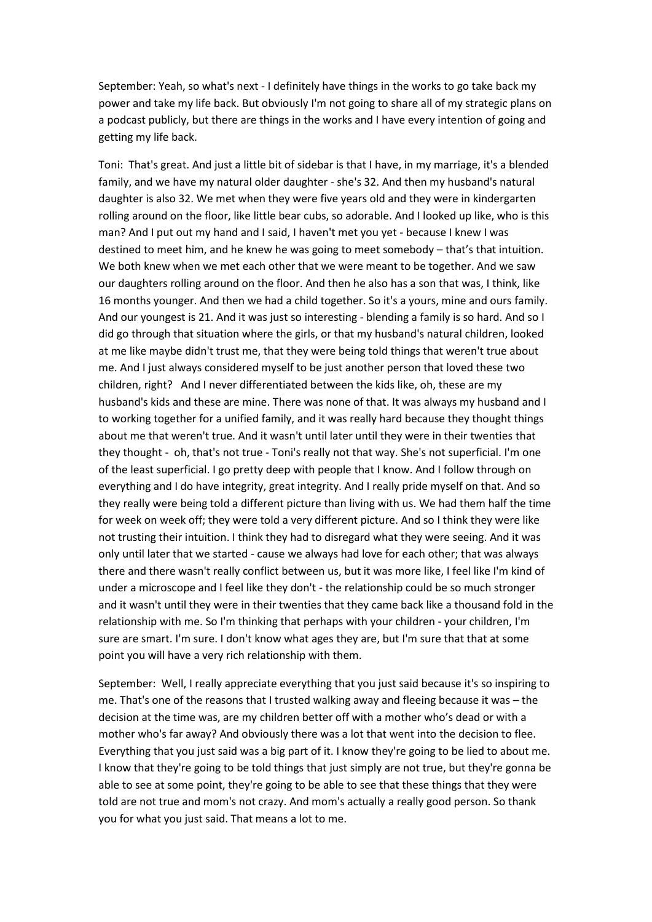September: Yeah, so what's next - I definitely have things in the works to go take back my power and take my life back. But obviously I'm not going to share all of my strategic plans on a podcast publicly, but there are things in the works and I have every intention of going and getting my life back.

Toni: That's great. And just a little bit of sidebar is that I have, in my marriage, it's a blended family, and we have my natural older daughter - she's 32. And then my husband's natural daughter is also 32. We met when they were five years old and they were in kindergarten rolling around on the floor, like little bear cubs, so adorable. And I looked up like, who is this man? And I put out my hand and I said, I haven't met you yet - because I knew I was destined to meet him, and he knew he was going to meet somebody – that's that intuition. We both knew when we met each other that we were meant to be together. And we saw our daughters rolling around on the floor. And then he also has a son that was, I think, like 16 months younger. And then we had a child together. So it's a yours, mine and ours family. And our youngest is 21. And it was just so interesting - blending a family is so hard. And so I did go through that situation where the girls, or that my husband's natural children, looked at me like maybe didn't trust me, that they were being told things that weren't true about me. And I just always considered myself to be just another person that loved these two children, right? And I never differentiated between the kids like, oh, these are my husband's kids and these are mine. There was none of that. It was always my husband and I to working together for a unified family, and it was really hard because they thought things about me that weren't true. And it wasn't until later until they were in their twenties that they thought - oh, that's not true - Toni's really not that way. She's not superficial. I'm one of the least superficial. I go pretty deep with people that I know. And I follow through on everything and I do have integrity, great integrity. And I really pride myself on that. And so they really were being told a different picture than living with us. We had them half the time for week on week off; they were told a very different picture. And so I think they were like not trusting their intuition. I think they had to disregard what they were seeing. And it was only until later that we started - cause we always had love for each other; that was always there and there wasn't really conflict between us, but it was more like, I feel like I'm kind of under a microscope and I feel like they don't - the relationship could be so much stronger and it wasn't until they were in their twenties that they came back like a thousand fold in the relationship with me. So I'm thinking that perhaps with your children - your children, I'm sure are smart. I'm sure. I don't know what ages they are, but I'm sure that that at some point you will have a very rich relationship with them.

September: Well, I really appreciate everything that you just said because it's so inspiring to me. That's one of the reasons that I trusted walking away and fleeing because it was – the decision at the time was, are my children better off with a mother who's dead or with a mother who's far away? And obviously there was a lot that went into the decision to flee. Everything that you just said was a big part of it. I know they're going to be lied to about me. I know that they're going to be told things that just simply are not true, but they're gonna be able to see at some point, they're going to be able to see that these things that they were told are not true and mom's not crazy. And mom's actually a really good person. So thank you for what you just said. That means a lot to me.